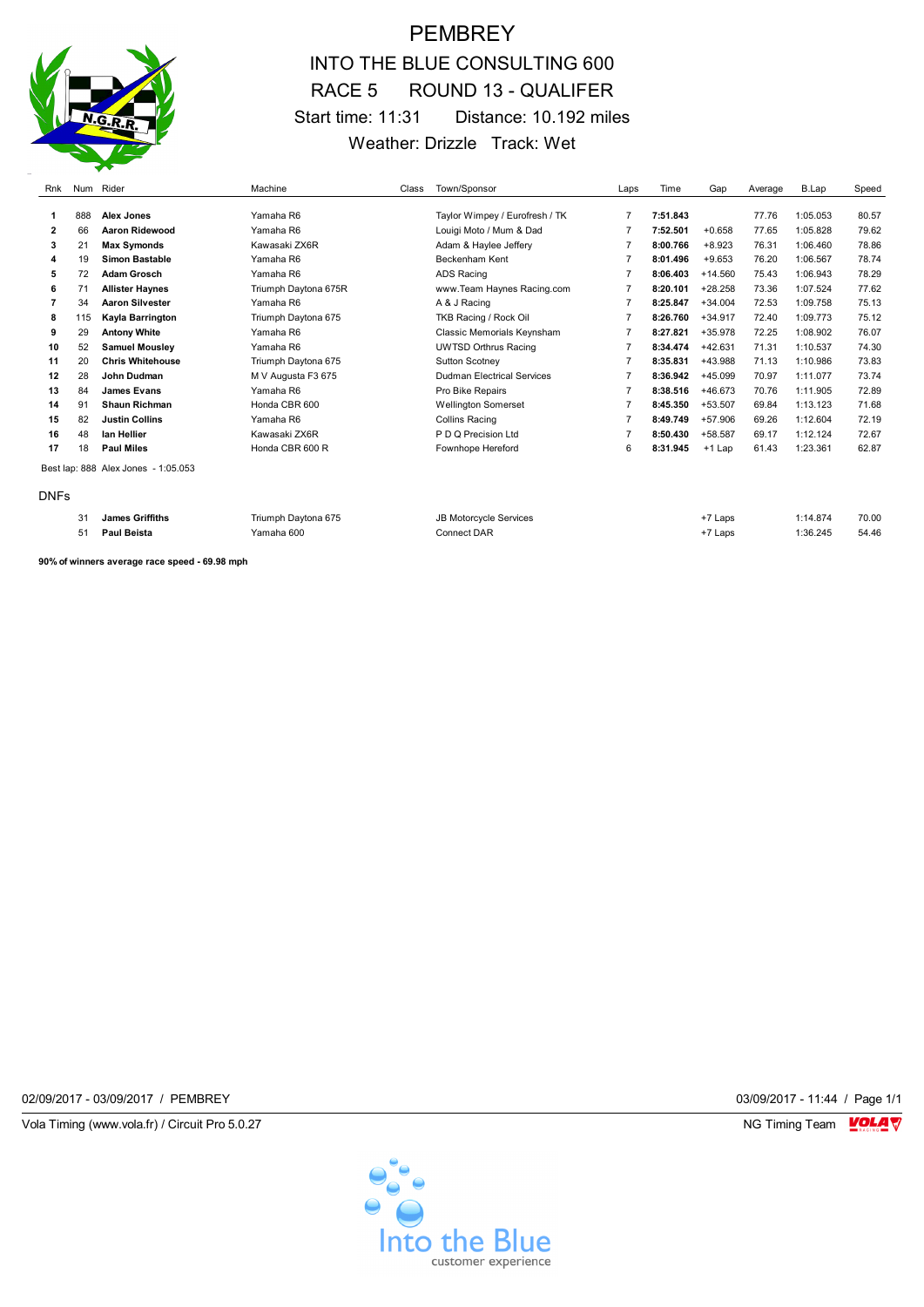## **PEMBREY** INTO THE BLUE CONSULTING 600 RACE 5 ROUND 13 - QUALIFER Start time: 11:31 Distance: 10.192 miles Weather: Drizzle Track: Wet

| Rnk            |                                     | Num Rider               | Machine              | Class | Town/Sponsor                   | Laps           | Time     | Gap       | Average | B.Lap    | Speed |
|----------------|-------------------------------------|-------------------------|----------------------|-------|--------------------------------|----------------|----------|-----------|---------|----------|-------|
|                |                                     |                         |                      |       |                                |                |          |           |         |          |       |
| -1             | 888                                 | Alex Jones              | Yamaha R6            |       | Taylor Wimpey / Eurofresh / TK | $\overline{7}$ | 7:51.843 |           | 77.76   | 1:05.053 | 80.57 |
| $\overline{2}$ | 66                                  | Aaron Ridewood          | Yamaha R6            |       | Louigi Moto / Mum & Dad        | $\overline{7}$ | 7:52.501 | $+0.658$  | 77.65   | 1:05.828 | 79.62 |
| 3              | 21                                  | <b>Max Symonds</b>      | Kawasaki ZX6R        |       | Adam & Haylee Jeffery          | $\overline{7}$ | 8:00.766 | $+8.923$  | 76.31   | 1:06.460 | 78.86 |
| 4              | 19                                  | Simon Bastable          | Yamaha R6            |       | Beckenham Kent                 | 7              | 8:01.496 | $+9.653$  | 76.20   | 1:06.567 | 78.74 |
| 5              | 72                                  | <b>Adam Grosch</b>      | Yamaha R6            |       | <b>ADS Racing</b>              | 7              | 8:06.403 | $+14.560$ | 75.43   | 1:06.943 | 78.29 |
| 6              | 71                                  | <b>Allister Haynes</b>  | Triumph Daytona 675R |       | www.Team Haynes Racing.com     | $\overline{7}$ | 8:20.101 | $+28.258$ | 73.36   | 1:07.524 | 77.62 |
|                | 34                                  | <b>Aaron Silvester</b>  | Yamaha R6            |       | A & J Racing                   | $\overline{7}$ | 8:25.847 | $+34.004$ | 72.53   | 1:09.758 | 75.13 |
| 8              | 115                                 | Kayla Barrington        | Triumph Daytona 675  |       | TKB Racing / Rock Oil          | $\overline{7}$ | 8:26.760 | $+34.917$ | 72.40   | 1:09.773 | 75.12 |
| 9              | 29                                  | <b>Antony White</b>     | Yamaha R6            |       | Classic Memorials Keynsham     | 7              | 8:27.821 | +35.978   | 72.25   | 1:08.902 | 76.07 |
| 10             | 52                                  | <b>Samuel Mousley</b>   | Yamaha R6            |       | <b>UWTSD Orthrus Racing</b>    | 7              | 8:34.474 | $+42.631$ | 71.31   | 1:10.537 | 74.30 |
| 11             | 20                                  | <b>Chris Whitehouse</b> | Triumph Daytona 675  |       | <b>Sutton Scotney</b>          | 7              | 8:35.831 | +43.988   | 71.13   | 1:10.986 | 73.83 |
| 12             | 28                                  | John Dudman             | M V Augusta F3 675   |       | Dudman Electrical Services     | 7              | 8:36.942 | $+45.099$ | 70.97   | 1:11.077 | 73.74 |
| 13             | 84                                  | <b>James Evans</b>      | Yamaha R6            |       | Pro Bike Repairs               | 7              | 8:38.516 | +46.673   | 70.76   | 1:11.905 | 72.89 |
| 14             | 91                                  | <b>Shaun Richman</b>    | Honda CBR 600        |       | <b>Wellington Somerset</b>     | 7              | 8:45.350 | $+53.507$ | 69.84   | 1:13.123 | 71.68 |
| 15             | 82                                  | <b>Justin Collins</b>   | Yamaha R6            |       | <b>Collins Racing</b>          | 7              | 8:49.749 | $+57.906$ | 69.26   | 1:12.604 | 72.19 |
| 16             | 48                                  | lan Hellier             | Kawasaki ZX6R        |       | P D Q Precision Ltd            | 7              | 8:50.430 | +58.587   | 69.17   | 1:12.124 | 72.67 |
| 17             | 18                                  | <b>Paul Miles</b>       | Honda CBR 600 R      |       | Fownhope Hereford              | 6              | 8:31.945 | +1 Lap    | 61.43   | 1:23.361 | 62.87 |
|                | Best lap: 888 Alex Jones - 1:05.053 |                         |                      |       |                                |                |          |           |         |          |       |
| <b>DNFs</b>    |                                     |                         |                      |       |                                |                |          |           |         |          |       |
|                | 31                                  | <b>James Griffiths</b>  | Triumph Daytona 675  |       | <b>JB Motorcycle Services</b>  |                |          | +7 Laps   |         | 1:14.874 | 70.00 |
|                | 51                                  | <b>Paul Beista</b>      | Yamaha 600           |       | <b>Connect DAR</b>             |                |          | +7 Laps   |         | 1:36.245 | 54.46 |

**90% of winners average race speed - 69.98 mph**

02/09/2017 - 03/09/2017 / PEMBREY 03/09/2017 - 11:44 / Page 1/1

Vola Timing (www.vola.fr) / Circuit Pro 5.0.27 **NG Timing Team** Vola Timing Team VOLA V

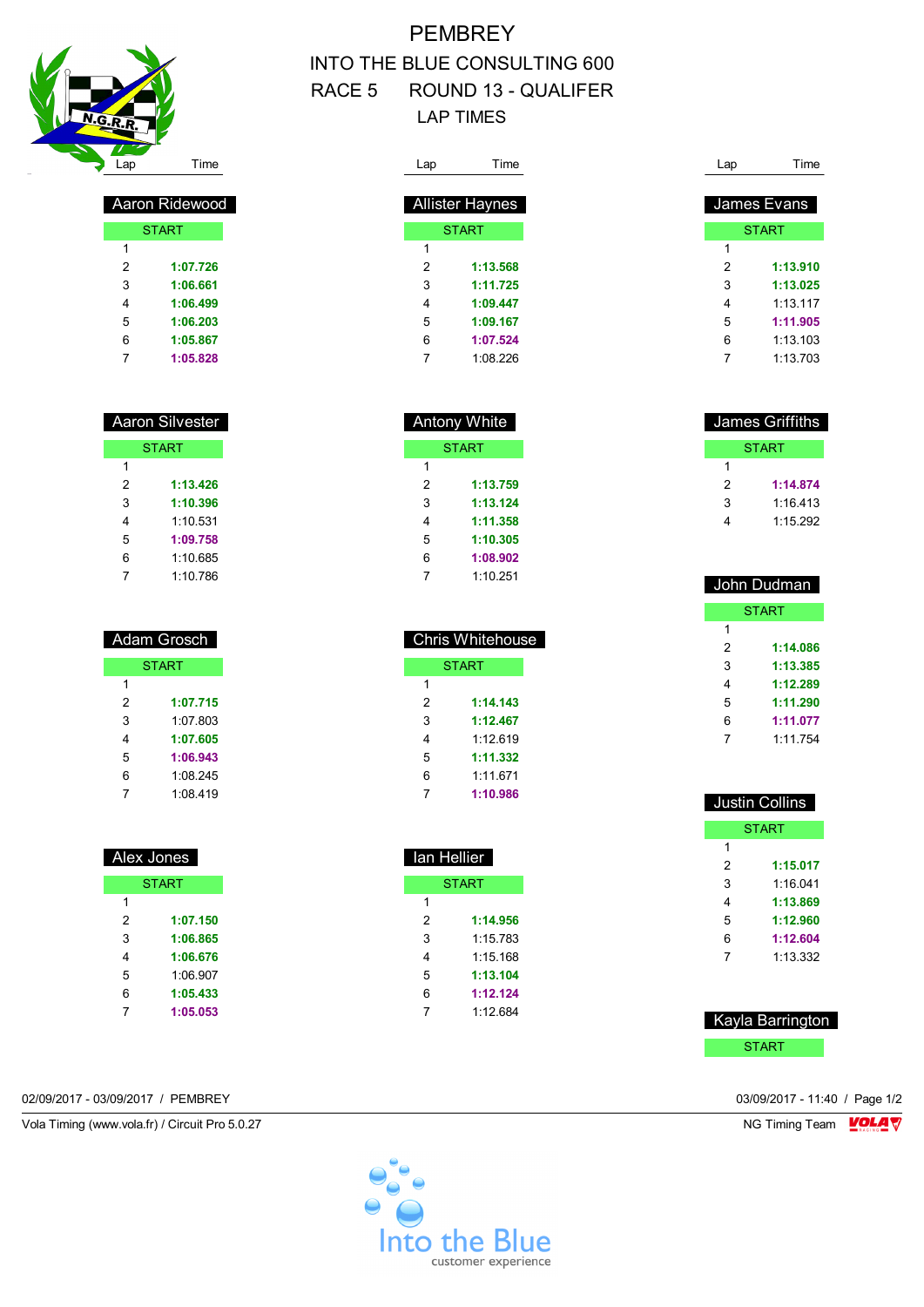

| Aaron Ridewood |              |  |  |
|----------------|--------------|--|--|
|                | <b>START</b> |  |  |
| 1              |              |  |  |
| 2              | 1:07.726     |  |  |
| 3              | 1:06.661     |  |  |
| 4              | 1:06.499     |  |  |
| 5              | 1:06.203     |  |  |
| 6              | 1:05.867     |  |  |
|                | 1:05.828     |  |  |

| Aaron Silvester |              |  |  |
|-----------------|--------------|--|--|
|                 | <b>START</b> |  |  |
| 1               |              |  |  |
| 2               | 1:13.426     |  |  |
| 3               | 1:10.396     |  |  |
| 4               | 1:10.531     |  |  |
| 5               | 1:09.758     |  |  |
| 6               | 1:10.685     |  |  |
| 7               | 1:10.786     |  |  |

| <b>Adam Grosch</b> |              |  |  |
|--------------------|--------------|--|--|
|                    | <b>START</b> |  |  |
| 1                  |              |  |  |
| 2                  | 1:07.715     |  |  |
| 3                  | 1.07 803     |  |  |
| 4                  | 1:07.605     |  |  |
| 5                  | 1:06.943     |  |  |
| 6                  | 1:08.245     |  |  |
|                    | 1:08.419     |  |  |

| Alex Jones |              |  |  |  |
|------------|--------------|--|--|--|
|            | <b>START</b> |  |  |  |
| 1          |              |  |  |  |
| 2          | 1:07.150     |  |  |  |
| 3          | 1:06.865     |  |  |  |
| 4          | 1:06.676     |  |  |  |
| 5          | 1:06.907     |  |  |  |
| 6          | 1:05.433     |  |  |  |
| 7          | 1:05.053     |  |  |  |

# **PEMBREY** INTO THE BLUE CONSULTING 600 RACE 5 ROUND 13 - QUALIFER LAP TIMES

| Lap                    | Time         |  |  |  |  |
|------------------------|--------------|--|--|--|--|
|                        |              |  |  |  |  |
| <b>Allister Haynes</b> |              |  |  |  |  |
|                        | <b>START</b> |  |  |  |  |
| 1                      |              |  |  |  |  |
| 2                      | 1:13.568     |  |  |  |  |
| 3                      | 1:11.725     |  |  |  |  |
| 4                      | 1:09.447     |  |  |  |  |
| 5                      | 1:09.167     |  |  |  |  |
| 6                      | 1:07.524     |  |  |  |  |
| 7                      | 1:08.226     |  |  |  |  |

| <b>Antony White</b> |              |  |  |  |
|---------------------|--------------|--|--|--|
|                     | <b>START</b> |  |  |  |
| 1                   |              |  |  |  |
| 2                   | 1:13.759     |  |  |  |
| 3                   | 1:13.124     |  |  |  |
| 4                   | 1:11.358     |  |  |  |
| 5                   | 1:10.305     |  |  |  |
| 6                   | 1:08.902     |  |  |  |
|                     | 1:10.251     |  |  |  |

| <b>Chris Whitehouse</b> |              |  |  |
|-------------------------|--------------|--|--|
|                         | <b>START</b> |  |  |
| 1                       |              |  |  |
| $\mathcal{P}$           | 1:14.143     |  |  |
| 3                       | 1:12.467     |  |  |
| 4                       | 1.12619      |  |  |
| 5                       | 1:11.332     |  |  |
| 6                       | 1:11.671     |  |  |
|                         | 1:10.986     |  |  |

| lan Hellier  |          |  |  |  |
|--------------|----------|--|--|--|
| <b>START</b> |          |  |  |  |
| 1            |          |  |  |  |
| 2            | 1:14.956 |  |  |  |
| 3            | 1:15 783 |  |  |  |
| 4            | 1:15 168 |  |  |  |
| 5            | 1:13.104 |  |  |  |
| 6            | 1:12.124 |  |  |  |
| 7            | 1.12684  |  |  |  |
|              |          |  |  |  |

#### Lap Time James Evans **START**  $\overline{1}$  **1:13.910 1:13.025** 1:13.117 **1:11.905** 1:13.103

1:13.703

| James Griffiths |              |  |  |
|-----------------|--------------|--|--|
|                 | <b>START</b> |  |  |
|                 |              |  |  |
| 2               | 1:14.874     |  |  |
| 3               | 1.16413      |  |  |
|                 | 1:15.292     |  |  |

| John Dudman |              |  |  |  |
|-------------|--------------|--|--|--|
|             | <b>START</b> |  |  |  |
| 1           |              |  |  |  |
| 2           | 1:14.086     |  |  |  |
| 3           | 1:13.385     |  |  |  |
| 4           | 1:12.289     |  |  |  |
| 5           | 1:11.290     |  |  |  |
| 6           | 1:11.077     |  |  |  |
| 7           | 1.11754      |  |  |  |
|             |              |  |  |  |

| <b>Justin Collins</b> |              |  |  |
|-----------------------|--------------|--|--|
|                       | <b>START</b> |  |  |
| 1                     |              |  |  |
| 2                     | 1:15.017     |  |  |
| 3                     | 1:16 041     |  |  |
| 4                     | 1:13.869     |  |  |
| 5                     | 1:12.960     |  |  |
| 6                     | 1:12.604     |  |  |
| 7                     | 1:13.332     |  |  |
|                       |              |  |  |

| Kayla Barrington |  |
|------------------|--|
| <b>START</b>     |  |

02/09/2017 - 03/09/2017 / PEMBREY 03/09/2017 - 11:40 / Page 1/2

Vola Timing (www.vola.fr) / Circuit Pro 5.0.27 NG Timing Team Monetary NG Timing Team Monetary

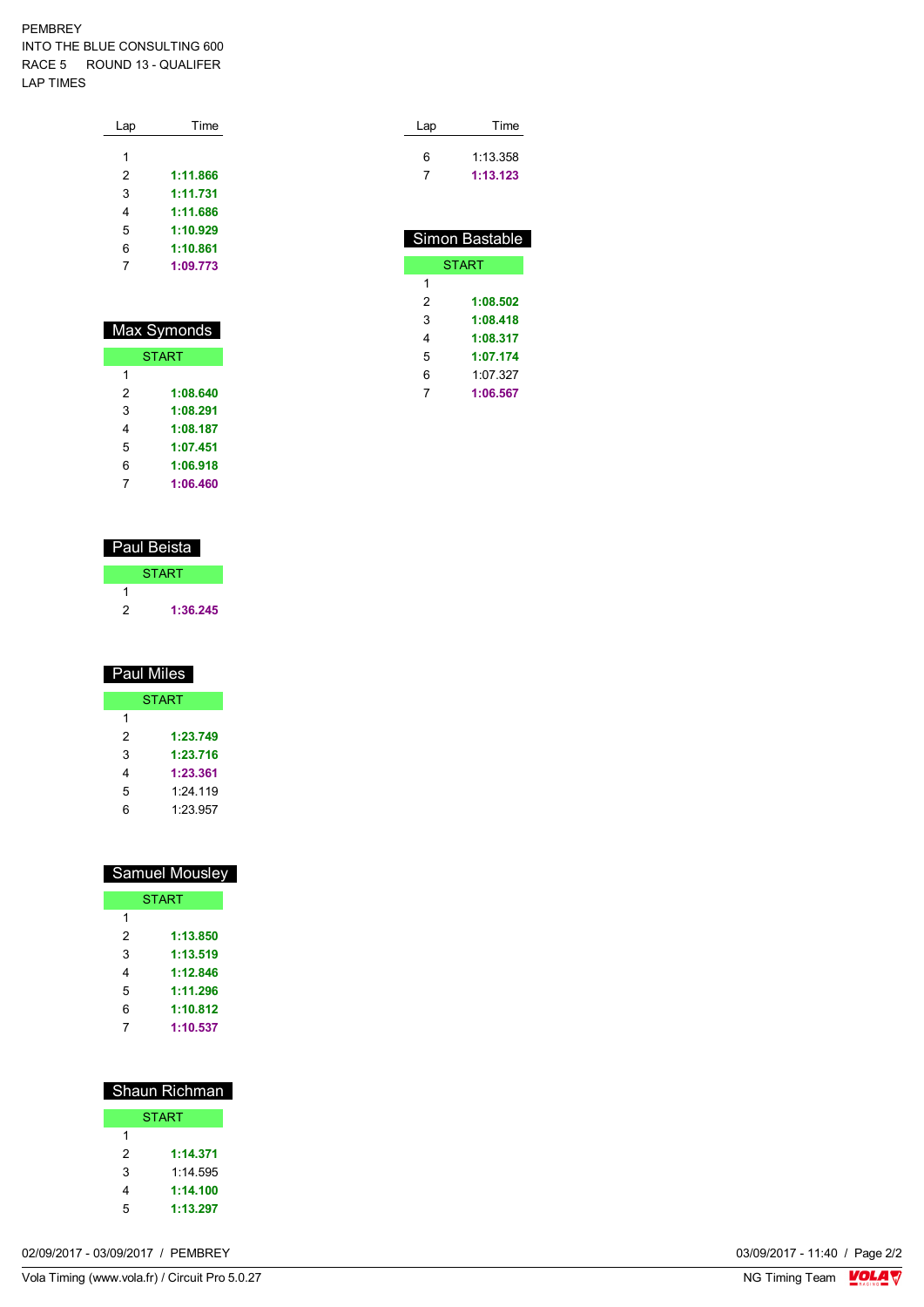#### PEMBREY INTO THE BLUE CONSULTING 600 RACE 5 ROUND 13 - QUALIFER LAP TIMES

| Lap | Time     |
|-----|----------|
|     |          |
| 1   |          |
| 2   | 1:11.866 |
| 3   | 1:11.731 |
| 4   | 1:11.686 |
| 5   | 1:10.929 |
| 6   | 1:10.861 |
| 7   | 1:09.773 |
|     |          |

| Max Symonds |              |  |  |  |  |  |  |
|-------------|--------------|--|--|--|--|--|--|
|             | <b>START</b> |  |  |  |  |  |  |
| 1           |              |  |  |  |  |  |  |
| 2           | 1:08.640     |  |  |  |  |  |  |
| 3           | 1:08.291     |  |  |  |  |  |  |
| 4           | 1:08.187     |  |  |  |  |  |  |
| 5           | 1:07.451     |  |  |  |  |  |  |
| 6           | 1:06.918     |  |  |  |  |  |  |
|             | 1:06.460     |  |  |  |  |  |  |

#### Paul Beista

| <b>START</b> |
|--------------|
|              |
| 1:36.245     |

| Paul Miles |              |  |  |  |  |  |
|------------|--------------|--|--|--|--|--|
|            | <b>START</b> |  |  |  |  |  |
| 1          |              |  |  |  |  |  |
| 2          | 1:23.749     |  |  |  |  |  |
| 3          | 1:23.716     |  |  |  |  |  |
| 4          | 1:23.361     |  |  |  |  |  |
| 5          | 1:24.119     |  |  |  |  |  |
| 6          | 1:23.957     |  |  |  |  |  |

| <b>Samuel Mousley</b> |              |  |  |  |  |  |  |
|-----------------------|--------------|--|--|--|--|--|--|
|                       | <b>START</b> |  |  |  |  |  |  |
| 1                     |              |  |  |  |  |  |  |
| 2                     | 1:13.850     |  |  |  |  |  |  |
| 3                     | 1:13.519     |  |  |  |  |  |  |
| 4                     | 1:12.846     |  |  |  |  |  |  |
| 5                     | 1:11.296     |  |  |  |  |  |  |
| 6                     | 1:10.812     |  |  |  |  |  |  |
| 7                     | 1:10.537     |  |  |  |  |  |  |

| <b>Shaun Richman</b> |              |  |  |  |  |  |  |
|----------------------|--------------|--|--|--|--|--|--|
|                      | <b>START</b> |  |  |  |  |  |  |
| 1                    |              |  |  |  |  |  |  |
| 2                    | 1:14.371     |  |  |  |  |  |  |
| 3                    | 1.14595      |  |  |  |  |  |  |
| 4                    | 1:14.100     |  |  |  |  |  |  |
| 5                    | 1:13.297     |  |  |  |  |  |  |
|                      |              |  |  |  |  |  |  |

| Lap | Time                 |
|-----|----------------------|
| 6   | 1:13.358<br>1:13.123 |
|     |                      |

| Simon Bastable |              |  |  |  |  |  |  |  |  |
|----------------|--------------|--|--|--|--|--|--|--|--|
|                | <b>START</b> |  |  |  |  |  |  |  |  |
| 1              |              |  |  |  |  |  |  |  |  |
| 2              | 1:08.502     |  |  |  |  |  |  |  |  |
| 3              | 1:08.418     |  |  |  |  |  |  |  |  |
| 4              | 1:08.317     |  |  |  |  |  |  |  |  |
| 5              | 1:07.174     |  |  |  |  |  |  |  |  |
| 6              | 1:07.327     |  |  |  |  |  |  |  |  |
| 7              | 1:06.567     |  |  |  |  |  |  |  |  |

03/09/2017 - 11:40 / Page 2/2<br>NG Timing Team  $\sqrt{\frac{Q}{M}}\sqrt{\frac{Q}{N}}$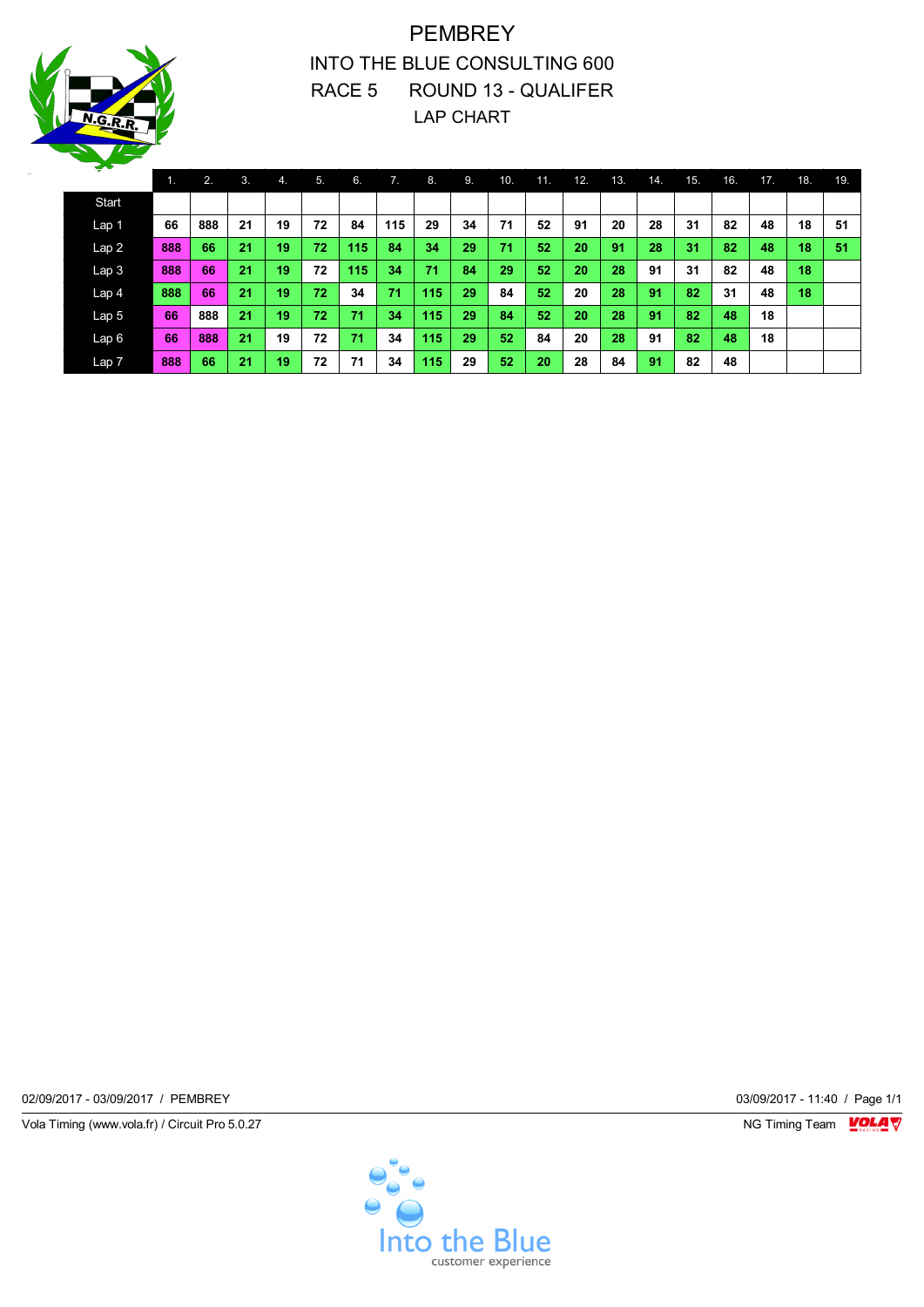

## PEMBREY INTO THE BLUE CONSULTING 600 RACE 5 ROUND 13 - QUALIFER LAP CHART

| <b>The Second Second</b> | . . | 2.  | 3. | $\mathbf{4}$ | 5. | 6.  | 7.  | 8.  | .9. | 10. | 11. | 12. | 13. | 14. | 15. | 16. | 17. | 18. | 19. |
|--------------------------|-----|-----|----|--------------|----|-----|-----|-----|-----|-----|-----|-----|-----|-----|-----|-----|-----|-----|-----|
| <b>Start</b>             |     |     |    |              |    |     |     |     |     |     |     |     |     |     |     |     |     |     |     |
| Lap 1                    | 66  | 888 | 21 | 19           | 72 | 84  | 115 | 29  | 34  | 71  | 52  | 91  | 20  | 28  | 31  | 82  | 48  | 18  | 51  |
| Lap2                     | 888 | 66  | 21 | 19           | 72 | 115 | 84  | 34  | 29  | 71  | 52  | 20  | 91  | 28  | 31  | 82  | 48  | 18  | 51  |
| Lap <sub>3</sub>         | 888 | 66  | 21 | 19           | 72 | 115 | 34  | 71  | 84  | 29  | 52  | 20  | 28  | 91  | 31  | 82  | 48  | 18  |     |
| Lap 4                    | 888 | 66  | 21 | 19           | 72 | 34  | 71  | 115 | 29  | 84  | 52  | 20  | 28  | 91  | 82  | 31  | 48  | 18  |     |
| Lap <sub>5</sub>         | 66  | 888 | 21 | 19           | 72 | 71  | 34  | 115 | 29  | 84  | 52  | 20  | 28  | 91  | 82  | 48  | 18  |     |     |
| Lap6                     | 66  | 888 | 21 | 19           | 72 | 71  | 34  | 115 | 29  | 52  | 84  | 20  | 28  | 91  | 82  | 48  | 18  |     |     |
| Lap 7                    | 888 | 66  | 21 | 19           | 72 | 71  | 34  | 115 | 29  | 52  | 20  | 28  | 84  | 91  | 82  | 48  |     |     |     |

02/09/2017 - 03/09/2017 / PEMBREY 03/09/2017 - 11:40 / Page 1/1

Vola Timing (www.vola.fr) / Circuit Pro 5.0.27 NG Timing Team VOLA V

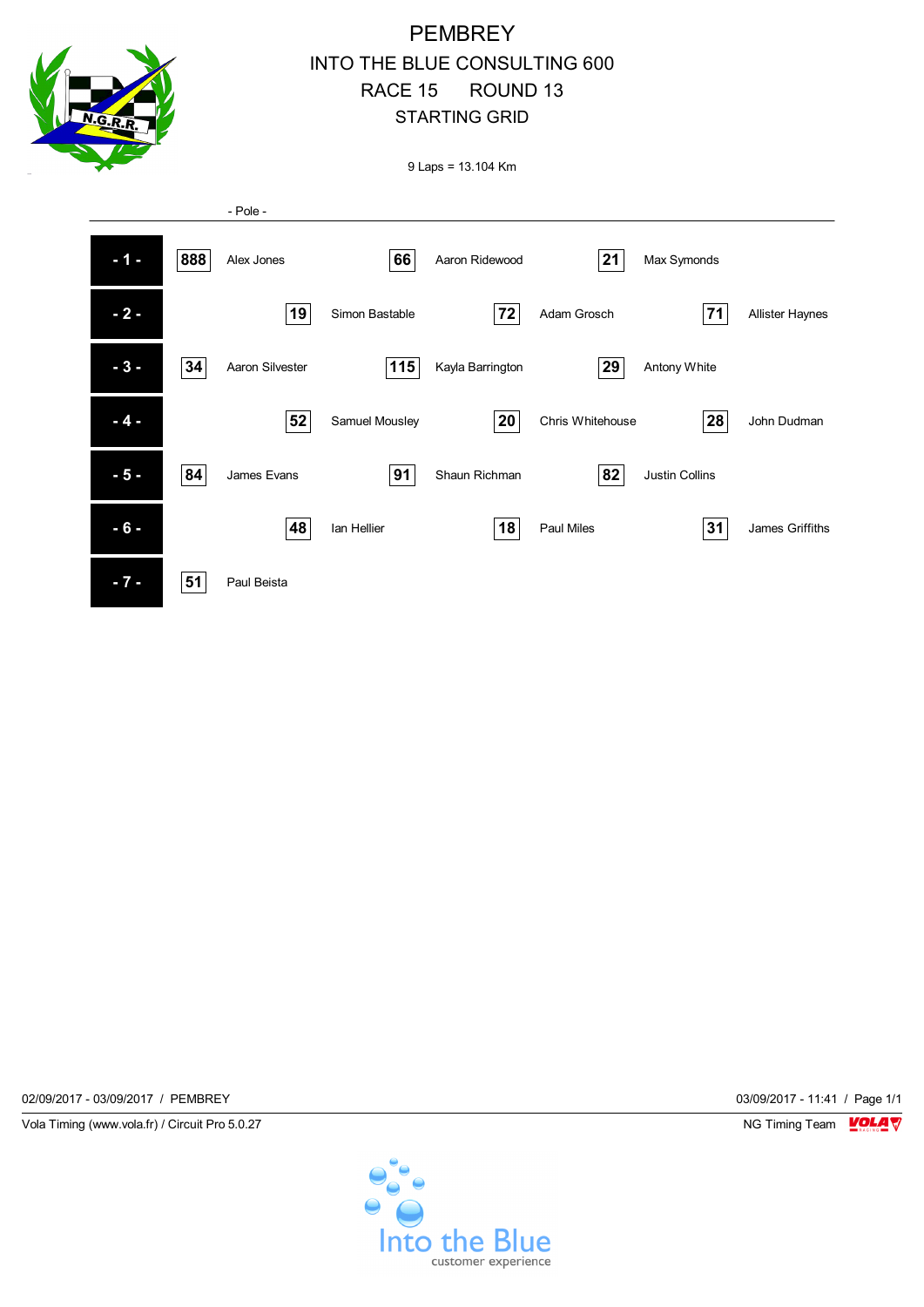

#### **PEMBREY** INTO THE BLUE CONSULTING 600 RACE 15 ROUND 13 STARTING GRID

9 Laps = 13.104 Km



02/09/2017 - 03/09/2017 / PEMBREY 03/09/2017 - 11:41 / Page 1/1

Vola Timing (www.vola.fr) / Circuit Pro 5.0.27 NG Timing Team NG Timing Team NG Timing Team NG Timing Team NG

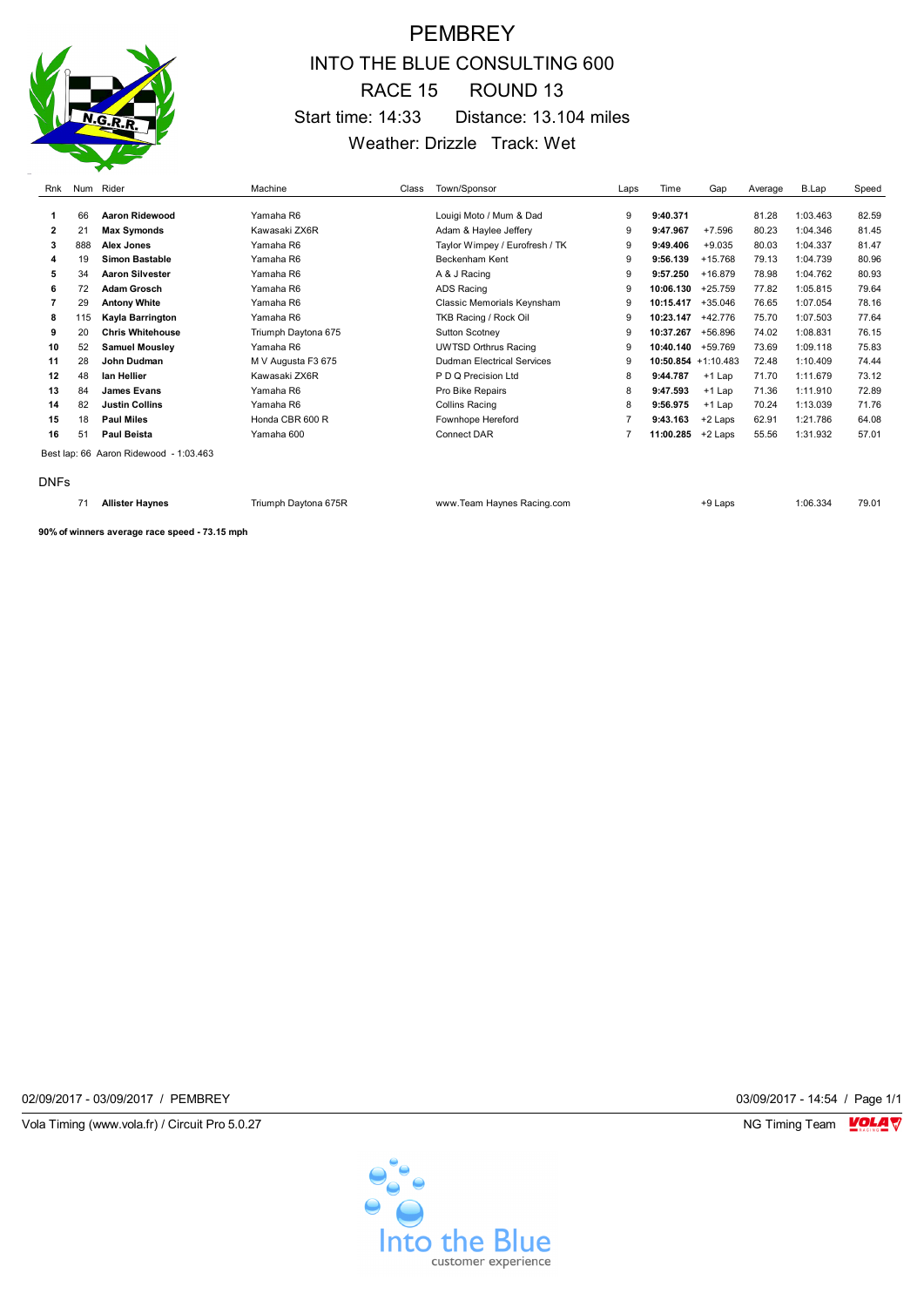

## **PEMBREY** INTO THE BLUE CONSULTING 600 RACE 15 ROUND 13 Start time: 14:33 Distance: 13.104 miles Weather: Drizzle Track: Wet

| Rnk            |     | Num Rider                              | Machine             | Class | Town/Sponsor                   | Laps | Time                   | Gap       | Average | B.Lap    | Speed |
|----------------|-----|----------------------------------------|---------------------|-------|--------------------------------|------|------------------------|-----------|---------|----------|-------|
|                |     | Aaron Ridewood                         | Yamaha R6           |       |                                |      |                        |           |         |          |       |
|                | 66  |                                        |                     |       | Louigi Moto / Mum & Dad        | 9    | 9:40.371               |           | 81.28   | 1:03.463 | 82.59 |
| $\overline{2}$ | 21  | Max Symonds                            | Kawasaki ZX6R       |       | Adam & Haylee Jeffery          | 9    | 9:47.967               | $+7.596$  | 80.23   | 1:04.346 | 81.45 |
| 3              | 888 | <b>Alex Jones</b>                      | Yamaha R6           |       | Taylor Wimpey / Eurofresh / TK | 9    | 9:49.406               | $+9.035$  | 80.03   | 1:04.337 | 81.47 |
| 4              | 19  | <b>Simon Bastable</b>                  | Yamaha R6           |       | Beckenham Kent                 | 9    | 9:56.139               | $+15.768$ | 79.13   | 1:04.739 | 80.96 |
| 5              | 34  | <b>Aaron Silvester</b>                 | Yamaha R6           |       | A & J Racing                   | 9    | 9:57.250               | $+16.879$ | 78.98   | 1:04.762 | 80.93 |
| 6              | 72  | <b>Adam Grosch</b>                     | Yamaha R6           |       | ADS Racing                     | 9    | 10:06.130              | $+25.759$ | 77.82   | 1:05.815 | 79.64 |
|                | 29  | <b>Antony White</b>                    | Yamaha R6           |       | Classic Memorials Keynsham     | 9    | 10:15.417              | $+35.046$ | 76.65   | 1:07.054 | 78.16 |
| 8              | 115 | Kayla Barrington                       | Yamaha R6           |       | TKB Racing / Rock Oil          | 9    | 10:23.147              | +42.776   | 75.70   | 1:07.503 | 77.64 |
| 9              | 20  | <b>Chris Whitehouse</b>                | Triumph Daytona 675 |       | Sutton Scotney                 | 9    | 10:37.267              | +56.896   | 74.02   | 1:08.831 | 76.15 |
| 10             | 52  | <b>Samuel Mousley</b>                  | Yamaha R6           |       | <b>UWTSD Orthrus Racing</b>    | 9    | 10:40.140              | +59.769   | 73.69   | 1:09.118 | 75.83 |
| 11             | 28  | John Dudman                            | M V Augusta F3 675  |       | Dudman Electrical Services     | 9    | $10:50.854 + 1:10.483$ |           | 72.48   | 1:10.409 | 74.44 |
| 12             | 48  | lan Hellier                            | Kawasaki ZX6R       |       | P D Q Precision Ltd            | 8    | 9:44.787               | $+1$ Lap  | 71.70   | 1:11.679 | 73.12 |
| 13             | 84  | <b>James Evans</b>                     | Yamaha R6           |       | Pro Bike Repairs               | 8    | 9:47.593               | +1 Lap    | 71.36   | 1:11.910 | 72.89 |
| 14             | 82  | <b>Justin Collins</b>                  | Yamaha R6           |       | <b>Collins Racing</b>          | 8    | 9:56.975               | $+1$ Lap  | 70.24   | 1:13.039 | 71.76 |
| 15             | 18  | <b>Paul Miles</b>                      | Honda CBR 600 R     |       | Fownhope Hereford              | 7    | 9:43.163               | +2 Laps   | 62.91   | 1:21.786 | 64.08 |
| 16             | 51  | <b>Paul Beista</b>                     | Yamaha 600          |       | <b>Connect DAR</b>             |      | 11:00.285              | +2 Laps   | 55.56   | 1:31.932 | 57.01 |
|                |     | Best lap: 66 Aaron Ridewood - 1:03.463 |                     |       |                                |      |                        |           |         |          |       |
| <b>DNFs</b>    |     |                                        |                     |       |                                |      |                        |           |         |          |       |

**Allister Haynes** Triumph Daytona 675R www.Team Haynes Racing.com +9 Laps 1:06.334 79.01

**90% of winners average race speed - 73.15 mph**

02/09/2017 - 03/09/2017 / PEMBREY 03/09/2017 - 14:54 / Page 1/1

Vola Timing (www.vola.fr) / Circuit Pro 5.0.27 **NG Timing Team MOLA View Area** NG Timing Team MOLA View Area NG Timing Team MOLA View Area NG Timing Team MOLA View Area NG Timing Team MOLA View Area NG Timing Team MOLA Vie

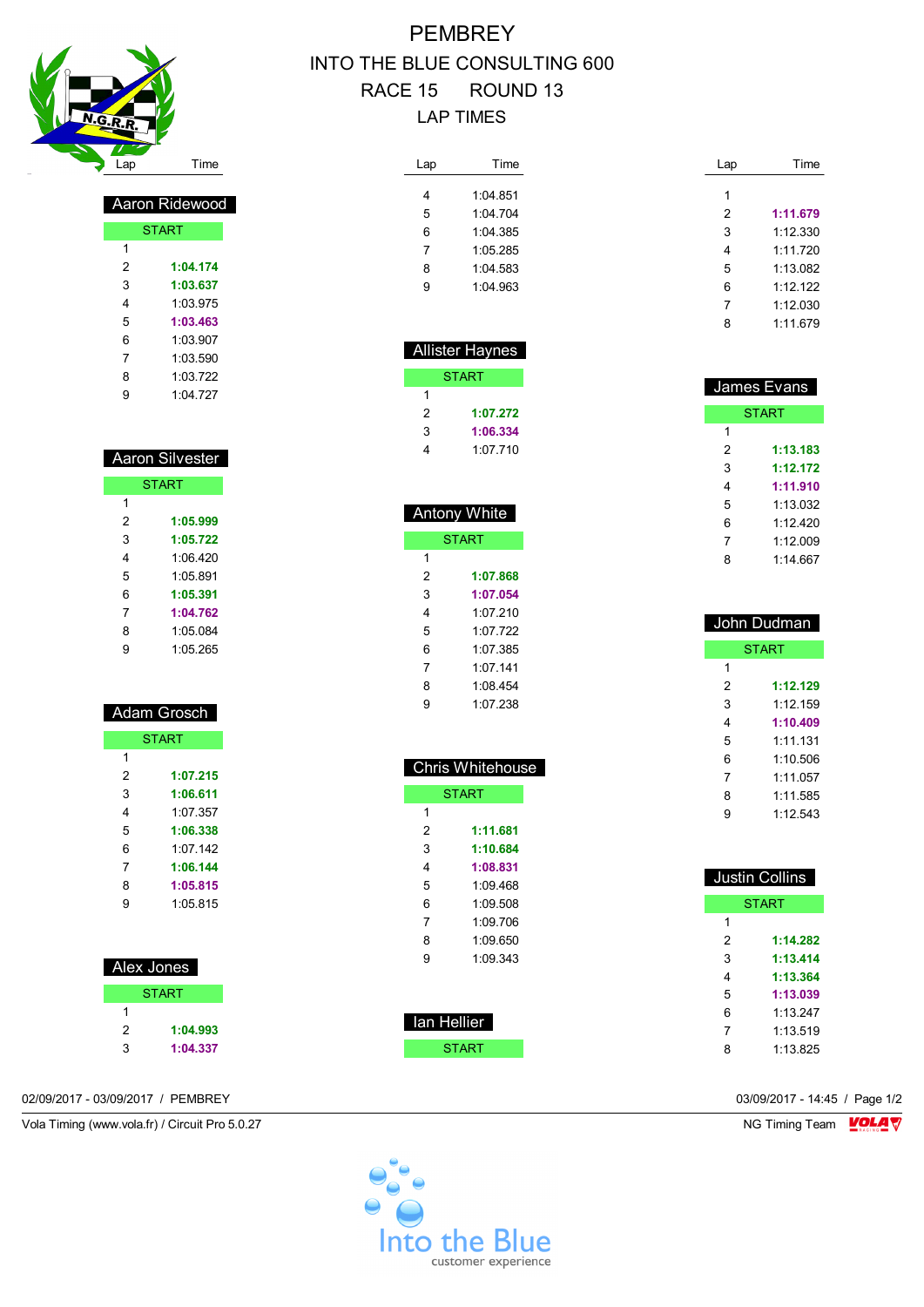

 Aaron Ridewood START

# **PEMBREY** INTO THE BLUE CONSULTING 600 RACE 15 ROUND 13 LAP TIMES

| Lap | Time     |
|-----|----------|
|     |          |
| 4   | 1:04 851 |
| 5   | 1.04704  |
| 6   | 1.04.385 |
| 7   | 1:05 285 |
| 8   | 1.04583  |
| q   | 1:04.963 |

 Allister Haynes **START** 

> **1:07.272 1:06.334** 1:07.710

 Antony White **START** 

> **1:07.868 1:07.054** 1:07.210 1:07.722 1:07.385 1:07.141 1:08.454 1:07.238

 Chris Whitehouse **START** 

 **1:11.681 1:10.684 1:08.831** 1:09.468 1:09.508 1:09.706 1:09.650 1:09.343

 $\overline{1}$ 

 $\overline{1}$ 

| Lap | Time     |
|-----|----------|
|     |          |
| 1   |          |
| 2   | 1:11.679 |
| 3   | 1:12.330 |
| 4   | 1:11.720 |
| 5   | 1:13.082 |
| 6   | 1:12.122 |
| 7   | 1:12.030 |
| 8   | 1:11.679 |

|   | James Evans  |
|---|--------------|
|   | <b>START</b> |
| 1 |              |
| 2 | 1:13.183     |
| 3 | 1:12.172     |
| 4 | 1:11.910     |
| 5 | 1.13032      |
| 6 | 1.12420      |
| 7 | 1.12009      |
| 8 | 1.14 667     |

| John Dudman |              |
|-------------|--------------|
|             | <b>START</b> |
| 1           |              |
| 2           | 1:12.129     |
| 3           | 1:12.159     |
| 4           | 1:10.409     |
| 5           | 1.11131      |
| 6           | 1:10.506     |
| 7           | 1.11057      |
| 8           | 1:11.585     |
|             | 1:12.543     |

|   | <b>Justin Collins</b> |
|---|-----------------------|
|   | <b>START</b>          |
| 1 |                       |
| 2 | 1:14.282              |
| 3 | 1:13.414              |
| 4 | 1:13.364              |
| 5 | 1:13.039              |
| հ | 1.13 247              |
| 7 | 1.13.519              |
| ឧ | 1.13825               |

| п |          |  |
|---|----------|--|
| 2 | 1:04.174 |  |
| 3 | 1:03.637 |  |
| 4 | 1:03.975 |  |
| 5 | 1:03.463 |  |
| 6 | 1:03.907 |  |
| 7 | 1:03.590 |  |
| 8 | 1:03.722 |  |
| 9 | 1:04.727 |  |
|   |          |  |

| Aaron Silvester |              |
|-----------------|--------------|
|                 | <b>START</b> |
| 1               |              |
| 2               | 1:05.999     |
| 3               | 1:05.722     |
| 4               | 1:06 420     |
| 5               | 1.05.891     |
| 6               | 1:05.391     |
| 7               | 1:04.762     |
| 8               | 1:05 084     |
| 9               | 1.05265      |

#### Adam Grosch

|   | <b>START</b> |
|---|--------------|
| 1 |              |
| 2 | 1:07.215     |
| 3 | 1:06.611     |
| 4 | 1.07.357     |
| 5 | 1:06.338     |
| 6 | 1.07 142     |
| 7 | 1:06.144     |
| 8 | 1:05.815     |
| g | 1:05 815     |
|   |              |

| Alex Jones   |  |
|--------------|--|
| <b>START</b> |  |
|              |  |

| 2 | 1:04.993 |
|---|----------|
| 3 | 1:04.337 |

02/09/2017 - 03/09/2017 / PEMBREY 03/09/2017 - 14:45 / Page 1/2

Vola Timing (www.vola.fr) / Circuit Pro 5.0.27 NG Timing Team VOLA V



 Ian Hellier **START**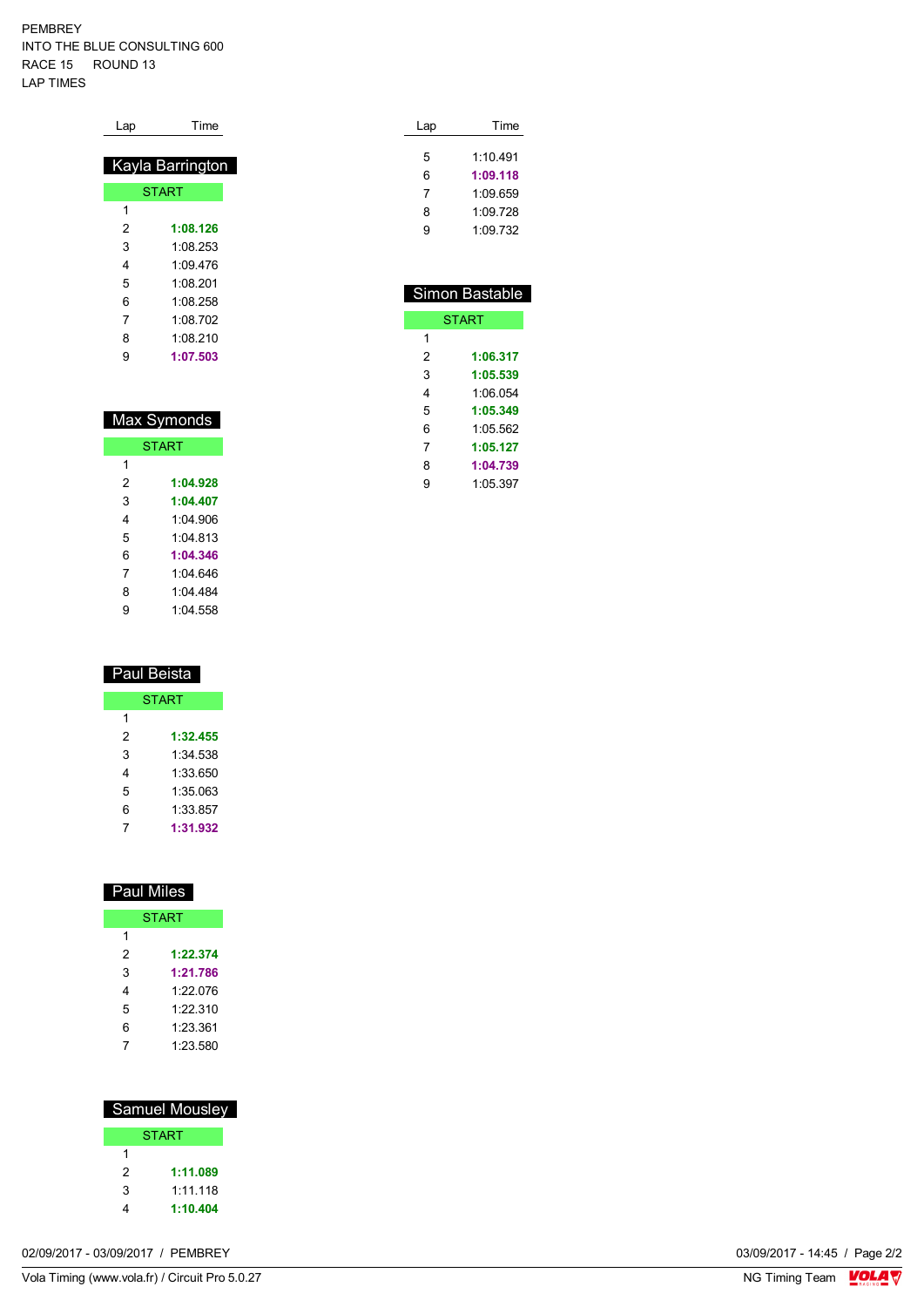PEMBREY INTO THE BLUE CONSULTING 600 RACE 15 ROUND 13 LAP TIMES

| Lap | Time             |
|-----|------------------|
|     | Kayla Barrington |
|     | <b>START</b>     |
|     |                  |
| 1   |                  |
| 2   | 1:08.126         |
| 3   | 1:08 253         |
| 4   | 1.09476          |
| 5   | 1:08 201         |
| 6   | 1:08 258         |
| 7   | 1:08 702         |
| 8   | 1:08 210         |
| 9   | 1:07.503         |

| Max Symonds |
|-------------|
|-------------|

|   | <b>START</b> |
|---|--------------|
| 1 |              |
| 2 | 1:04.928     |
| 3 | 1:04.407     |
| 4 | 1:04 906     |
| 5 | 1:04 813     |
| 6 | 1:04.346     |
| 7 | 1:04 646     |
| 8 | 1.04484      |
| g | 1.04558      |

| Paul Beista |              |
|-------------|--------------|
|             | <b>START</b> |
| 1           |              |
| 2           | 1:32.455     |
| 3           | 1:34 538     |
| 4           | 1:33.650     |
| 5           | 1:35.063     |
| 6           | 1:33.857     |
|             | 1:31.932     |

| Paul Miles |              |
|------------|--------------|
|            | <b>START</b> |
| 1          |              |
| 2          | 1:22.374     |
| 3          | 1:21.786     |
| 4          | 1.22 076     |
| 5          | 1:22.310     |
| 6          | 1:23.361     |
|            | 1:23.580     |

|   | <b>Samuel Mousley</b> |
|---|-----------------------|
|   | <b>START</b>          |
| 1 |                       |
| 2 | 1:11.089              |
| 3 | 1.11118               |
| 4 | 1:10,404              |

| 02/09/2017 - 03/09/2017<br>PEMBREY | 03/09/2017 - 14:45 / | $'$ Page 2/2 |
|------------------------------------|----------------------|--------------|
|                                    |                      |              |

| Lap | Time     |  |
|-----|----------|--|
|     |          |  |
| 5   | 1.10491  |  |
| 6   | 1:09.118 |  |
| 7   | 1:09 659 |  |
| 8   | 1:09.728 |  |
| g   | 1.09732  |  |
|     |          |  |

|   | Simon Bastable |
|---|----------------|
|   | <b>START</b>   |
| 1 |                |
| 2 | 1:06.317       |
| 3 | 1:05.539       |
| 4 | 1:06.054       |
| 5 | 1:05.349       |
| հ | 1.05.562       |
| 7 | 1:05.127       |
| 8 | 1:04.739       |
| 9 | 1:05.397       |